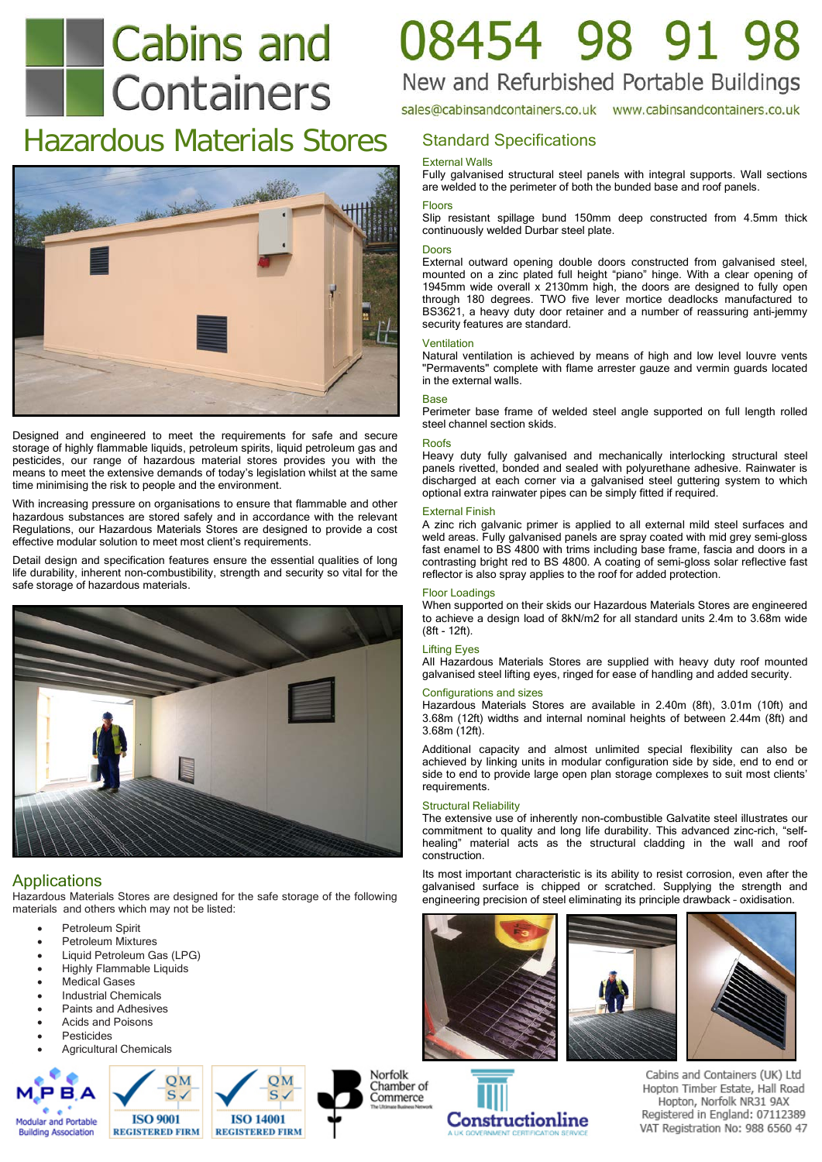# **Cabins and Containers**

## Hazardous Materials Stores



Designed and engineered to meet the requirements for safe and secure storage of highly flammable liquids, petroleum spirits, liquid petroleum gas and pesticides, our range of hazardous material stores provides you with the means to meet the extensive demands of today's legislation whilst at the same time minimising the risk to people and the environment.

With increasing pressure on organisations to ensure that flammable and other hazardous substances are stored safely and in accordance with the relevant Regulations, our Hazardous Materials Stores are designed to provide a cost effective modular solution to meet most client's requirements.

Detail design and specification features ensure the essential qualities of long life durability, inherent non-combustibility, strength and security so vital for the safe storage of hazardous materials.



#### **Applications**

Hazardous Materials Stores are designed for the safe storage of the following materials and others which may not be listed:

- Petroleum Spirit
- Petroleum Mixtures
- Liquid Petroleum Gas (LPG)
- Highly Flammable Liquids
- Medical Gases
- Industrial Chemicals • Paints and Adhesives
- Acids and Poisons
- **Pesticides**
- Agricultural Chemicals







# 08454 98 91 98

## New and Refurbished Portable Buildings

sales@cabinsandcontainers.co.uk www.cabinsandcontainers.co.uk

## Standard Specifications

#### External Walls

Fully galvanised structural steel panels with integral supports. Wall sections are welded to the perimeter of both the bunded base and roof panels.

#### Floors

Slip resistant spillage bund 150mm deep constructed from 4.5mm thick continuously welded Durbar steel plate.

#### Doors

External outward opening double doors constructed from galvanised steel, mounted on a zinc plated full height "piano" hinge. With a clear opening of 1945mm wide overall x 2130mm high, the doors are designed to fully open through 180 degrees. TWO five lever mortice deadlocks manufactured to BS3621, a heavy duty door retainer and a number of reassuring anti-jemmy security features are standard.

#### Ventilation

Natural ventilation is achieved by means of high and low level louvre vents "Permavents" complete with flame arrester gauze and vermin guards located in the external walls.

#### Base

Perimeter base frame of welded steel angle supported on full length rolled steel channel section skids.

#### Roofs

Heavy duty fully galvanised and mechanically interlocking structural steel panels rivetted, bonded and sealed with polyurethane adhesive. Rainwater is discharged at each corner via a galvanised steel guttering system to which optional extra rainwater pipes can be simply fitted if required.

#### External Finish

A zinc rich galvanic primer is applied to all external mild steel surfaces and weld areas. Fully galvanised panels are spray coated with mid grey semi-gloss fast enamel to BS 4800 with trims including base frame, fascia and doors in a contrasting bright red to BS 4800. A coating of semi-gloss solar reflective fast reflector is also spray applies to the roof for added protection.

#### Floor Loadings

When supported on their skids our Hazardous Materials Stores are engineered to achieve a design load of 8kN/m2 for all standard units 2.4m to 3.68m wide (8ft - 12ft).

#### Lifting Eyes

All Hazardous Materials Stores are supplied with heavy duty roof mounted galvanised steel lifting eyes, ringed for ease of handling and added security.

#### Configurations and sizes

Hazardous Materials Stores are available in 2.40m (8ft), 3.01m (10ft) and 3.68m (12ft) widths and internal nominal heights of between 2.44m (8ft) and 3.68m (12ft).

Additional capacity and almost unlimited special flexibility can also be achieved by linking units in modular configuration side by side, end to end or side to end to provide large open plan storage complexes to suit most clients' requirements.

#### Structural Reliability

The extensive use of inherently non-combustible Galvatite steel illustrates our commitment to quality and long life durability. This advanced zinc-rich, "selfhealing" material acts as the structural cladding in the wall and roof construction.

Its most important characteristic is its ability to resist corrosion, even after the galvanised surface is chipped or scratched. Supplying the strength and engineering precision of steel eliminating its principle drawback – oxidisation.





 $\overline{\phantom{a}}$ 

Constructionline